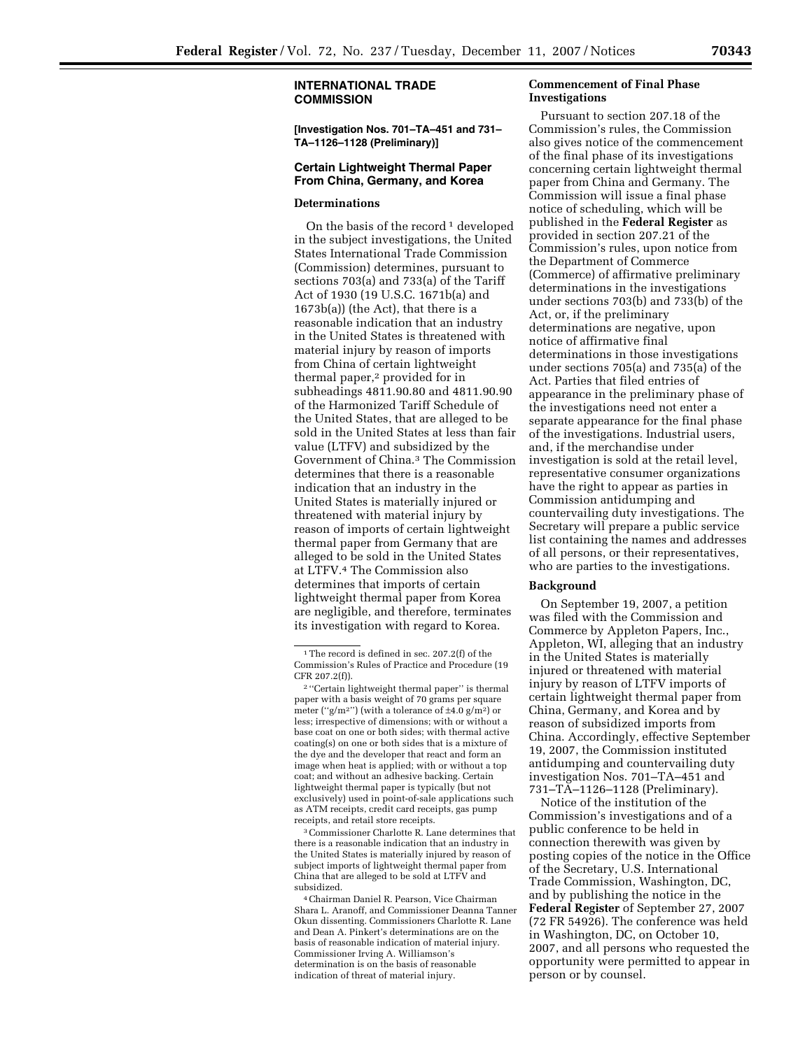**[Investigation Nos. 701–TA–451 and 731– TA–1126–1128 (Preliminary)]** 

## **Certain Lightweight Thermal Paper From China, Germany, and Korea**

## **Determinations**

On the basis of the record  $1$  developed in the subject investigations, the United States International Trade Commission (Commission) determines, pursuant to sections 703(a) and 733(a) of the Tariff Act of 1930 (19 U.S.C. 1671b(a) and 1673b(a)) (the Act), that there is a reasonable indication that an industry in the United States is threatened with material injury by reason of imports from China of certain lightweight thermal paper,<sup>2</sup> provided for in subheadings 4811.90.80 and 4811.90.90 of the Harmonized Tariff Schedule of the United States, that are alleged to be sold in the United States at less than fair value (LTFV) and subsidized by the Government of China.3 The Commission determines that there is a reasonable indication that an industry in the United States is materially injured or threatened with material injury by reason of imports of certain lightweight thermal paper from Germany that are alleged to be sold in the United States at LTFV.4 The Commission also determines that imports of certain lightweight thermal paper from Korea are negligible, and therefore, terminates its investigation with regard to Korea.

3Commissioner Charlotte R. Lane determines that there is a reasonable indication that an industry in the United States is materially injured by reason of subject imports of lightweight thermal paper from China that are alleged to be sold at LTFV and subsidized.

4Chairman Daniel R. Pearson, Vice Chairman Shara L. Aranoff, and Commissioner Deanna Tanner Okun dissenting. Commissioners Charlotte R. Lane and Dean A. Pinkert's determinations are on the basis of reasonable indication of material injury. Commissioner Irving A. Williamson's determination is on the basis of reasonable indication of threat of material injury.

## **Commencement of Final Phase Investigations**

Pursuant to section 207.18 of the Commission's rules, the Commission also gives notice of the commencement of the final phase of its investigations concerning certain lightweight thermal paper from China and Germany. The Commission will issue a final phase notice of scheduling, which will be published in the **Federal Register** as provided in section 207.21 of the Commission's rules, upon notice from the Department of Commerce (Commerce) of affirmative preliminary determinations in the investigations under sections 703(b) and 733(b) of the Act, or, if the preliminary determinations are negative, upon notice of affirmative final determinations in those investigations under sections 705(a) and 735(a) of the Act. Parties that filed entries of appearance in the preliminary phase of the investigations need not enter a separate appearance for the final phase of the investigations. Industrial users, and, if the merchandise under investigation is sold at the retail level, representative consumer organizations have the right to appear as parties in Commission antidumping and countervailing duty investigations. The Secretary will prepare a public service list containing the names and addresses of all persons, or their representatives, who are parties to the investigations.

## **Background**

On September 19, 2007, a petition was filed with the Commission and Commerce by Appleton Papers, Inc., Appleton, WI, alleging that an industry in the United States is materially injured or threatened with material injury by reason of LTFV imports of certain lightweight thermal paper from China, Germany, and Korea and by reason of subsidized imports from China. Accordingly, effective September 19, 2007, the Commission instituted antidumping and countervailing duty investigation Nos. 701–TA–451 and 731–TA–1126–1128 (Preliminary).

Notice of the institution of the Commission's investigations and of a public conference to be held in connection therewith was given by posting copies of the notice in the Office of the Secretary, U.S. International Trade Commission, Washington, DC, and by publishing the notice in the **Federal Register** of September 27, 2007 (72 FR 54926). The conference was held in Washington, DC, on October 10, 2007, and all persons who requested the opportunity were permitted to appear in person or by counsel.

<sup>1</sup>The record is defined in sec. 207.2(f) of the Commission's Rules of Practice and Procedure (19 CFR 207.2(f)).

<sup>2</sup> ''Certain lightweight thermal paper'' is thermal paper with a basis weight of 70 grams per square meter ("g/m<sup>2</sup>") (with a tolerance of  $\pm$ 4.0 g/m<sup>2</sup>) or less; irrespective of dimensions; with or without a base coat on one or both sides; with thermal active coating(s) on one or both sides that is a mixture of the dye and the developer that react and form an image when heat is applied; with or without a top coat; and without an adhesive backing. Certain lightweight thermal paper is typically (but not exclusively) used in point-of-sale applications such as ATM receipts, credit card receipts, gas pump receipts, and retail store receipts.